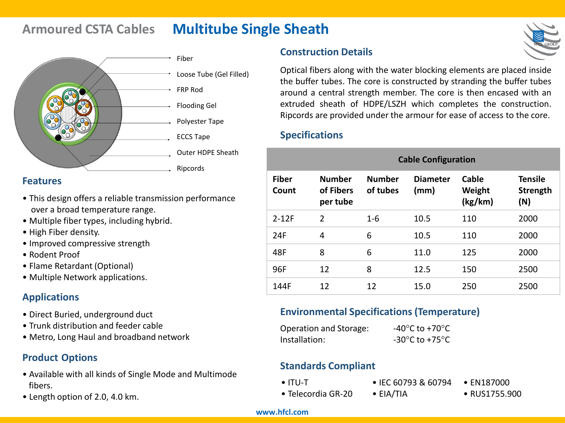# **Armoured CSTA Cables Multitube Single Sheath**



#### **Features**

- This design offers a reliable transmission performance over a broad temperature range.
- Multiple fiber types, including hybrid.
- High Fiber density.
- Improved compressive strength
- Rodent Proof
- Flame Retardant (Optional)
- Multiple Network applications.

#### **Applications**

- Direct Buried, underground duct
- Trunk distribution and feeder cable
- Metro, Long Haul and broadband network

### **Product Options**

- Available with all kinds of Single Mode and Multimode fibers.
- Length option of 2.0, 4.0 km.

### **Construction Details**

Optical fibers along with the water blocking elements are placed inside the buffer tubes. The core is constructed by stranding the buffer tubes around a central strength member. The core is then encased with an extruded sheath of HDPE/LSZH which completes the construction. Ripcords are provided under the armour for ease of access to the core.

#### **Specifications**

|                       | <b>Cable Configuration</b>             |                           |                         |                            |                                   |
|-----------------------|----------------------------------------|---------------------------|-------------------------|----------------------------|-----------------------------------|
| <b>Fiber</b><br>Count | <b>Number</b><br>of Fibers<br>per tube | <b>Number</b><br>of tubes | <b>Diameter</b><br>(mm) | Cable<br>Weight<br>(kg/km) | <b>Tensile</b><br>Strength<br>(N) |
| $2 - 12F$             | $\overline{2}$                         | $1 - 6$                   | 10.5                    | 110                        | 2000                              |
| 24F                   | 4                                      | 6                         | 10.5                    | 110                        | 2000                              |
| 48F                   | 8                                      | 6                         | 11.0                    | 125                        | 2000                              |
| 96F                   | 12                                     | 8                         | 12.5                    | 150                        | 2500                              |
| 144F                  | 12                                     | 12                        | 15.0                    | 250                        | 2500                              |

#### **Environmental Specifications (Temperature)**

| Operation and Storage: | -40 $^{\circ}$ C to +70 $^{\circ}$ C                 |
|------------------------|------------------------------------------------------|
| Installation:          | -30 $\mathrm{^{\circ}C}$ to +75 $\mathrm{^{\circ}C}$ |

#### **Standards Compliant**

• ITU-T

- IEC 60793 & 60794 • EN187000
- Telecordia GR-20
- EIA/TIA
- RUS1755.900

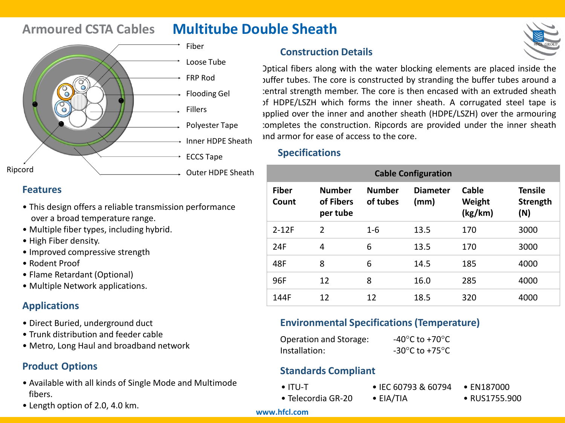# **Armoured CSTA Cables Multitube Double Sheath**



#### **Features**

- This design offers a reliable transmission performance over a broad temperature range.
- Multiple fiber types, including hybrid.
- High Fiber density.
- Improved compressive strength
- Rodent Proof
- Flame Retardant (Optional)
- Multiple Network applications.

### **Applications**

- Direct Buried, underground duct
- Trunk distribution and feeder cable
- Metro, Long Haul and broadband network

#### **Product Options**

- Available with all kinds of Single Mode and Multimode fibers.
- Length option of 2.0, 4.0 km.

### **Construction Details**

Optical fibers along with the water blocking elements are placed inside the buffer tubes. The core is constructed by stranding the buffer tubes around a central strength member. The core is then encased with an extruded sheath of HDPE/LSZH which forms the inner sheath. A corrugated steel tape is applied over the inner and another sheath (HDPE/LSZH) over the armouring completes the construction. Ripcords are provided under the inner sheath and armor for ease of access to the core.

#### **Specifications**

| <b>Cable Configuration</b> |                                        |                           |                         |                            |                                   |
|----------------------------|----------------------------------------|---------------------------|-------------------------|----------------------------|-----------------------------------|
| <b>Fiber</b><br>Count      | <b>Number</b><br>of Fibers<br>per tube | <b>Number</b><br>of tubes | <b>Diameter</b><br>(mm) | Cable<br>Weight<br>(kg/km) | <b>Tensile</b><br>Strength<br>(N) |
| $2 - 12F$                  | $\overline{2}$                         | $1-6$                     | 13.5                    | 170                        | 3000                              |
| 24F                        | 4                                      | 6                         | 13.5                    | 170                        | 3000                              |
| 48F                        | 8                                      | 6                         | 14.5                    | 185                        | 4000                              |
| 96F                        | 12                                     | 8                         | 16.0                    | 285                        | 4000                              |
| 144F                       | 12                                     | 12                        | 18.5                    | 320                        | 4000                              |

#### **Environmental Specifications (Temperature)**

| Operation and Storage: | -40 $^{\circ}$ C to +70 $^{\circ}$ C                 |
|------------------------|------------------------------------------------------|
| Installation:          | -30 $\mathrm{^{\circ}C}$ to +75 $\mathrm{^{\circ}C}$ |

#### **Standards Compliant**

- ITU-T
- Telecordia GR-20
- IEC 60793 & 60794 • EIA/TIA
- EN187000
- RUS1755.900

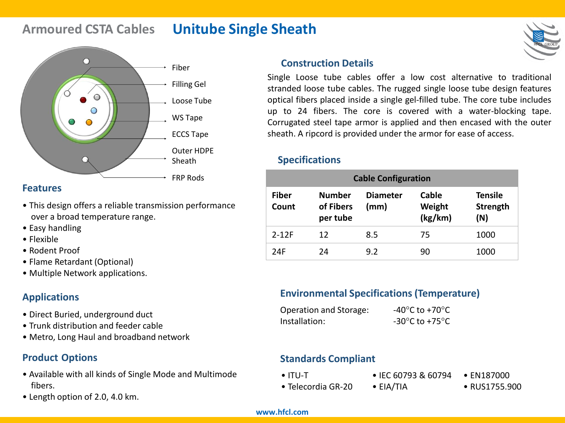# **Armoured CSTA Cables Unitube Single Sheath**



#### **Features**

- This design offers a reliable transmission performance over a broad temperature range.
- Easy handling
- Flexible
- Rodent Proof
- Flame Retardant (Optional)
- Multiple Network applications.

## **Applications**

- Direct Buried, underground duct
- Trunk distribution and feeder cable
- Metro, Long Haul and broadband network

## **Product Options**

- Available with all kinds of Single Mode and Multimode fibers.
- Length option of 2.0, 4.0 km.

#### **Construction Details**

Single Loose tube cables offer a low cost alternative to traditional stranded loose tube cables. The rugged single loose tube design features optical fibers placed inside a single gel-filled tube. The core tube includes up to 24 fibers. The core is covered with a water-blocking tape. Corrugated steel tape armor is applied and then encased with the outer sheath. A ripcord is provided under the armor for ease of access.

#### **Specifications**

| <b>Cable Configuration</b> |                                        |                         |                            |                                   |
|----------------------------|----------------------------------------|-------------------------|----------------------------|-----------------------------------|
| <b>Fiber</b><br>Count      | <b>Number</b><br>of Fibers<br>per tube | <b>Diameter</b><br>(mm) | Cable<br>Weight<br>(kg/km) | <b>Tensile</b><br>Strength<br>(N) |
| $2 - 12F$                  | 12                                     | 8.5                     | 75                         | 1000                              |
| 24F                        | 24                                     | 9.2                     | 90                         | 1000                              |

## **Environmental Specifications (Temperature)**

| Operation and Storage: | -40 $^{\circ}$ C to +70 $^{\circ}$ C                 |
|------------------------|------------------------------------------------------|
| Installation:          | -30 $\mathrm{^{\circ}C}$ to +75 $\mathrm{^{\circ}C}$ |

### **Standards Compliant**

• ITU-T

- IEC 60793 & 60794 • EN187000
- Telecordia GR-20 • EIA/TIA

• RUS1755.900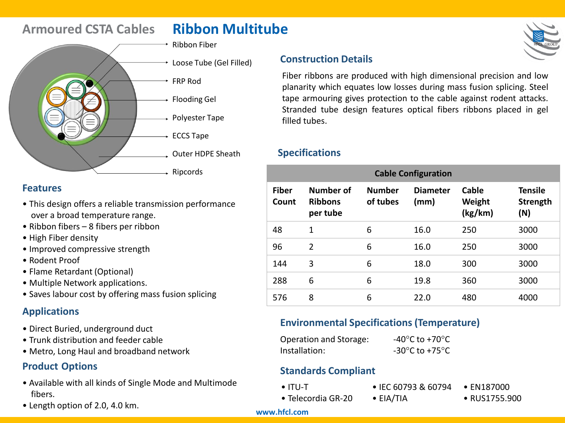# **Armoured CSTA Cables Ribbon Multitube**

- Ribbon Fiber FRP Rod Flooding Gel Polyester Tape
	- Loose Tube (Gel Filled)

- ECCS Tape
- Outer HDPE Sheath
- Ripcords

#### **Features**

- This design offers a reliable transmission performance over a broad temperature range.
- Ribbon fibers 8 fibers per ribbon
- High Fiber density
- Improved compressive strength
- Rodent Proof
- Flame Retardant (Optional)
- Multiple Network applications.
- Saves labour cost by offering mass fusion splicing

### **Applications**

- Direct Buried, underground duct
- Trunk distribution and feeder cable
- Metro, Long Haul and broadband network

## **Product Options**

- Available with all kinds of Single Mode and Multimode fibers.
- Length option of 2.0, 4.0 km.



#### **Construction Details**

Fiber ribbons are produced with high dimensional precision and low planarity which equates low losses during mass fusion splicing. Steel tape armouring gives protection to the cable against rodent attacks. Stranded tube design features optical fibers ribbons placed in gel filled tubes.

#### **Specifications**

| <b>Cable Configuration</b> |                                         |                           |                         |                            |                                   |
|----------------------------|-----------------------------------------|---------------------------|-------------------------|----------------------------|-----------------------------------|
| <b>Fiber</b><br>Count      | Number of<br><b>Ribbons</b><br>per tube | <b>Number</b><br>of tubes | <b>Diameter</b><br>(mm) | Cable<br>Weight<br>(kg/km) | <b>Tensile</b><br>Strength<br>(N) |
| 48                         | 1                                       | 6                         | 16.0                    | 250                        | 3000                              |
| 96                         | $\overline{2}$                          | 6                         | 16.0                    | 250                        | 3000                              |
| 144                        | 3                                       | 6                         | 18.0                    | 300                        | 3000                              |
| 288                        | 6                                       | 6                         | 19.8                    | 360                        | 3000                              |
| 576                        | 8                                       | 6                         | 22.0                    | 480                        | 4000                              |

#### **Environmental Specifications (Temperature)**

| Operation and Storage: | -40 $^{\circ}$ C to +70 $^{\circ}$ C                 |
|------------------------|------------------------------------------------------|
| Installation:          | -30 $\mathrm{^{\circ}C}$ to +75 $\mathrm{^{\circ}C}$ |

### **Standards Compliant**

- ITU-T
- Telecordia GR-20
- 
- EN187000
- RUS1755.900

#### **www.hfcl.com**

# • IEC 60793 & 60794

- EIA/TIA
-